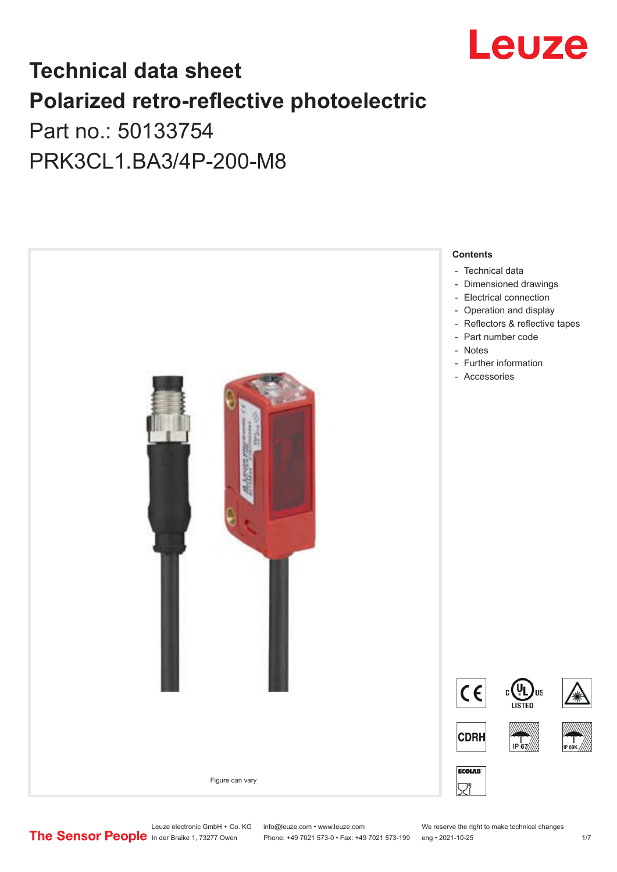

## **Technical data sheet Polarized retro-reflective photoelectric**  Part no.: 50133754

PRK3CL1.BA3/4P-200-M8



Leuze electronic GmbH + Co. KG info@leuze.com • www.leuze.com We reserve the right to make technical changes<br>
The Sensor People in der Braike 1, 73277 Owen Phone: +49 7021 573-0 • Fax: +49 7021 573-199 eng • 2021-10-25

Phone: +49 7021 573-0 • Fax: +49 7021 573-199 eng • 2021-10-25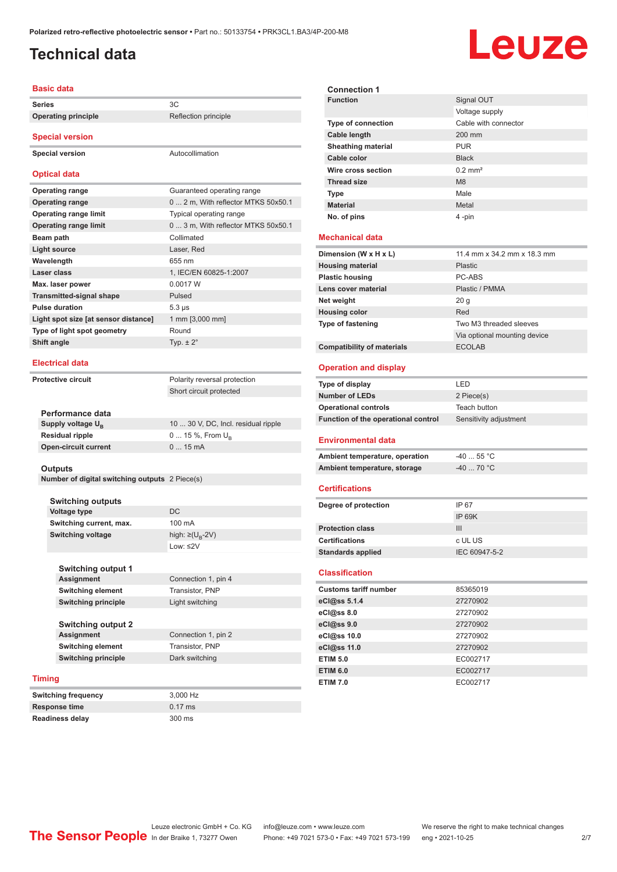## <span id="page-1-0"></span>**Technical data**

## Leuze

| Basic data                                     |                                     |
|------------------------------------------------|-------------------------------------|
| <b>Series</b>                                  | 3C                                  |
| <b>Operating principle</b>                     | Reflection principle                |
|                                                |                                     |
| <b>Special version</b>                         |                                     |
| <b>Special version</b>                         | Autocollimation                     |
|                                                |                                     |
| <b>Optical data</b>                            |                                     |
| <b>Operating range</b>                         | Guaranteed operating range          |
| <b>Operating range</b>                         | 0 2 m, With reflector MTKS 50x50.1  |
| <b>Operating range limit</b>                   | Typical operating range             |
| <b>Operating range limit</b>                   | 0  3 m, With reflector MTKS 50x50.1 |
| Beam path                                      | Collimated                          |
| <b>Light source</b>                            | Laser, Red                          |
| Wavelength                                     | 655 nm                              |
| Laser class                                    | 1, IEC/EN 60825-1:2007              |
| Max. laser power                               | 0.0017 W                            |
| <b>Transmitted-signal shape</b>                | Pulsed                              |
| <b>Pulse duration</b>                          | $5.3 \,\mu s$                       |
| Light spot size [at sensor distance]           | 1 mm [3,000 mm]                     |
| Type of light spot geometry                    | Round                               |
| Shift angle                                    | Typ. $\pm 2^{\circ}$                |
|                                                |                                     |
| <b>Electrical data</b>                         |                                     |
| <b>Protective circuit</b>                      | Polarity reversal protection        |
|                                                | Short circuit protected             |
|                                                |                                     |
| Performance data                               |                                     |
| Supply voltage U <sub>R</sub>                  | 10  30 V, DC, Incl. residual ripple |
| Residual ripple                                | 0  15 %, From $U_{\rm B}$           |
| <b>Open-circuit current</b>                    | 015mA                               |
|                                                |                                     |
| <b>Outputs</b>                                 |                                     |
| Number of digital switching outputs 2 Piece(s) |                                     |
|                                                |                                     |

| <b>Switching outputs</b> |                                  |
|--------------------------|----------------------------------|
| <b>Voltage type</b>      | DC.                              |
| Switching current, max.  | $100 \text{ mA}$                 |
| <b>Switching voltage</b> | high: $\geq (U_{\text{B}} - 2V)$ |
|                          | Low: $\leq$ 2V                   |
|                          |                                  |

| Assignment                                     | Connection 1, pin 4 |
|------------------------------------------------|---------------------|
| <b>Switching element</b>                       | Transistor, PNP     |
| <b>Switching principle</b>                     | Light switching     |
| <b>Switching output 2</b><br><b>Assignment</b> | Connection 1, pin 2 |
| <b>Switching element</b>                       | Transistor, PNP     |
|                                                |                     |
| <b>Switching principle</b>                     | Dark switching      |

#### **Timing**

| <b>Switching frequency</b> | 3.000 Hz         |
|----------------------------|------------------|
| <b>Response time</b>       | $0.17$ ms        |
| <b>Readiness delay</b>     | $300 \text{ ms}$ |

| <b>Connection 1</b>                 |                              |
|-------------------------------------|------------------------------|
| <b>Function</b>                     | Signal OUT                   |
|                                     | Voltage supply               |
| Type of connection                  | Cable with connector         |
| <b>Cable length</b>                 | 200 mm                       |
| <b>Sheathing material</b>           | <b>PUR</b>                   |
| Cable color                         | <b>Black</b>                 |
| Wire cross section                  | $0.2$ mm <sup>2</sup>        |
| <b>Thread size</b>                  | M8                           |
| <b>Type</b>                         | Male                         |
| <b>Material</b>                     | Metal                        |
| No. of pins                         | 4-pin                        |
|                                     |                              |
| <b>Mechanical data</b>              |                              |
| Dimension (W x H x L)               | 11.4 mm x 34.2 mm x 18.3 mm  |
| <b>Housing material</b>             | Plastic                      |
| <b>Plastic housing</b>              | PC-ABS                       |
| Lens cover material                 | Plastic / PMMA               |
| Net weight                          | 20 <sub>g</sub>              |
| <b>Housing color</b>                | Red                          |
| Type of fastening                   | Two M3 threaded sleeves      |
|                                     | Via optional mounting device |
| <b>Compatibility of materials</b>   | <b>ECOLAB</b>                |
| <b>Operation and display</b>        |                              |
| Type of display                     | LED                          |
| <b>Number of LEDs</b>               | 2 Piece(s)                   |
| <b>Operational controls</b>         | Teach button                 |
| Function of the operational control | Sensitivity adjustment       |
| <b>Environmental data</b>           |                              |
| Ambient temperature, operation      | $-40$ 55 °C                  |
| Ambient temperature, storage        | $-40$ 70 °C                  |
|                                     |                              |
| <b>Certifications</b>               |                              |
| Degree of protection                | IP 67                        |
|                                     | <b>IP 69K</b>                |
| <b>Protection class</b>             | III                          |
| <b>Certifications</b>               | c UL US                      |
| <b>Standards applied</b>            | IEC 60947-5-2                |
| <b>Classification</b>               |                              |
| <b>Customs tariff number</b>        | 85365019                     |
| eCl@ss 5.1.4                        | 27270902                     |
| eCl@ss 8.0                          | 27270902                     |
| eCl@ss 9.0                          | 27270902                     |
| eCl@ss 10.0                         | 27270902                     |
| eCl@ss 11.0                         | 27270902                     |
| <b>ETIM 5.0</b>                     | EC002717                     |
| <b>ETIM 6.0</b>                     | EC002717                     |
| <b>ETIM 7.0</b>                     | EC002717                     |
|                                     |                              |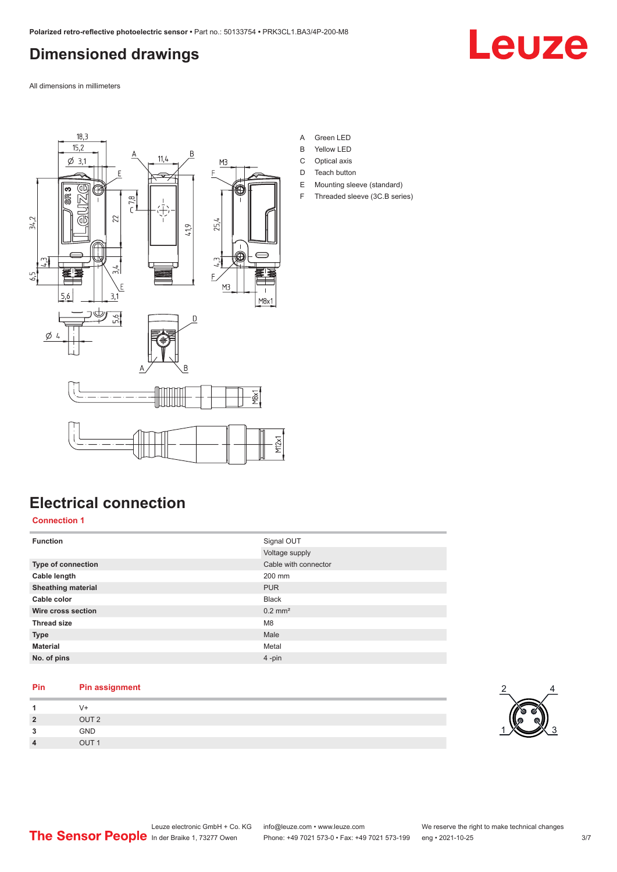#### <span id="page-2-0"></span>**Dimensioned drawings**

All dimensions in millimeters



- A Green LED
- B Yellow LED
- C Optical axis
- D Teach button E Mounting sleeve (standard)
- F Threaded sleeve (3C.B series)

## **Electrical connection**

**Connection 1**

| <b>Function</b>           | Signal OUT            |  |
|---------------------------|-----------------------|--|
|                           | Voltage supply        |  |
| Type of connection        | Cable with connector  |  |
| Cable length              | 200 mm                |  |
| <b>Sheathing material</b> | <b>PUR</b>            |  |
| Cable color               | <b>Black</b>          |  |
| Wire cross section        | $0.2$ mm <sup>2</sup> |  |
| <b>Thread size</b>        | M <sub>8</sub>        |  |
| <b>Type</b>               | Male                  |  |
| <b>Material</b>           | Metal                 |  |
| No. of pins               | 4-pin                 |  |

#### **Pin Pin assignment**

|                     | V+               |
|---------------------|------------------|
| $\overline{2}$      | OUT <sub>2</sub> |
| $\overline{ }$<br>J | GND              |
| 4                   | OUT <sub>1</sub> |



Leuze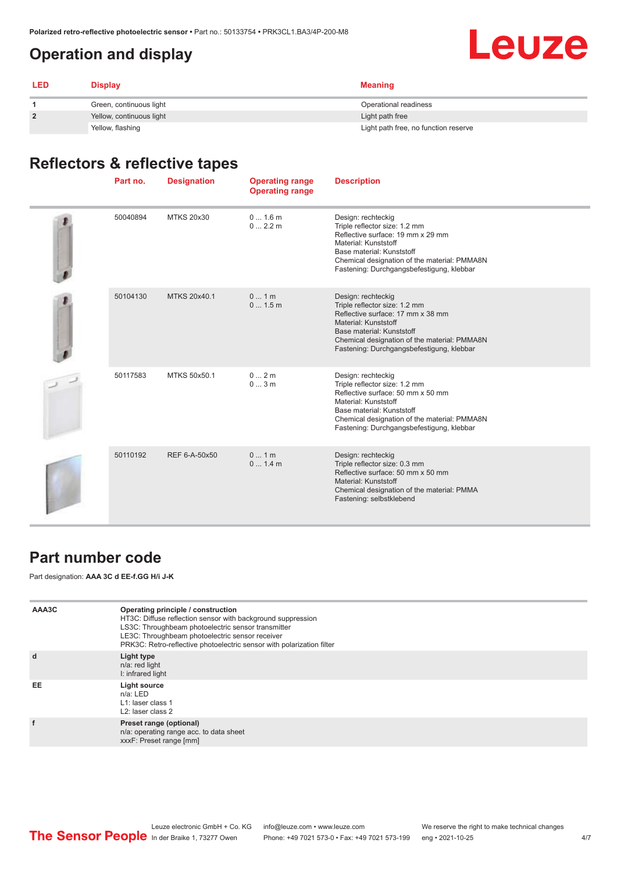### <span id="page-3-0"></span>**Operation and display**



| <b>LED</b>     | <b>Display</b>           | <b>Meaning</b>                       |
|----------------|--------------------------|--------------------------------------|
|                | Green, continuous light  | Operational readiness                |
| $\overline{2}$ | Yellow, continuous light | Light path free                      |
|                | Yellow, flashing         | Light path free, no function reserve |

#### **Reflectors & reflective tapes**

| Part no. | <b>Designation</b> | <b>Operating range</b><br><b>Operating range</b> | <b>Description</b>                                                                                                                                                                                                                         |
|----------|--------------------|--------------------------------------------------|--------------------------------------------------------------------------------------------------------------------------------------------------------------------------------------------------------------------------------------------|
| 50040894 | <b>MTKS 20x30</b>  | 01.6m<br>02.2m                                   | Design: rechteckig<br>Triple reflector size: 1.2 mm<br>Reflective surface: 19 mm x 29 mm<br>Material: Kunststoff<br>Base material: Kunststoff<br>Chemical designation of the material: PMMA8N<br>Fastening: Durchgangsbefestigung, klebbar |
| 50104130 | MTKS 20x40.1       | 01m<br>01.5m                                     | Design: rechteckig<br>Triple reflector size: 1.2 mm<br>Reflective surface: 17 mm x 38 mm<br>Material: Kunststoff<br>Base material: Kunststoff<br>Chemical designation of the material: PMMA8N<br>Fastening: Durchgangsbefestigung, klebbar |
| 50117583 | MTKS 50x50.1       | 02m<br>03m                                       | Design: rechteckig<br>Triple reflector size: 1.2 mm<br>Reflective surface: 50 mm x 50 mm<br>Material: Kunststoff<br>Base material: Kunststoff<br>Chemical designation of the material: PMMA8N<br>Fastening: Durchgangsbefestigung, klebbar |
| 50110192 | REF 6-A-50x50      | 01m<br>01.4m                                     | Design: rechteckig<br>Triple reflector size: 0.3 mm<br>Reflective surface: 50 mm x 50 mm<br>Material: Kunststoff<br>Chemical designation of the material: PMMA<br>Fastening: selbstklebend                                                 |

#### **Part number code**

Part designation: **AAA 3C d EE-f.GG H/i J-K**

| AAA3C | Operating principle / construction<br>HT3C: Diffuse reflection sensor with background suppression<br>LS3C: Throughbeam photoelectric sensor transmitter<br>LE3C: Throughbeam photoelectric sensor receiver<br>PRK3C: Retro-reflective photoelectric sensor with polarization filter |
|-------|-------------------------------------------------------------------------------------------------------------------------------------------------------------------------------------------------------------------------------------------------------------------------------------|
| d     | Light type<br>n/a: red light<br>I: infrared light                                                                                                                                                                                                                                   |
| EE    | Light source<br>$n/a$ : LED<br>L1: laser class 1<br>$L2$ : laser class 2                                                                                                                                                                                                            |
|       | Preset range (optional)<br>n/a: operating range acc. to data sheet<br>xxxF: Preset range [mm]                                                                                                                                                                                       |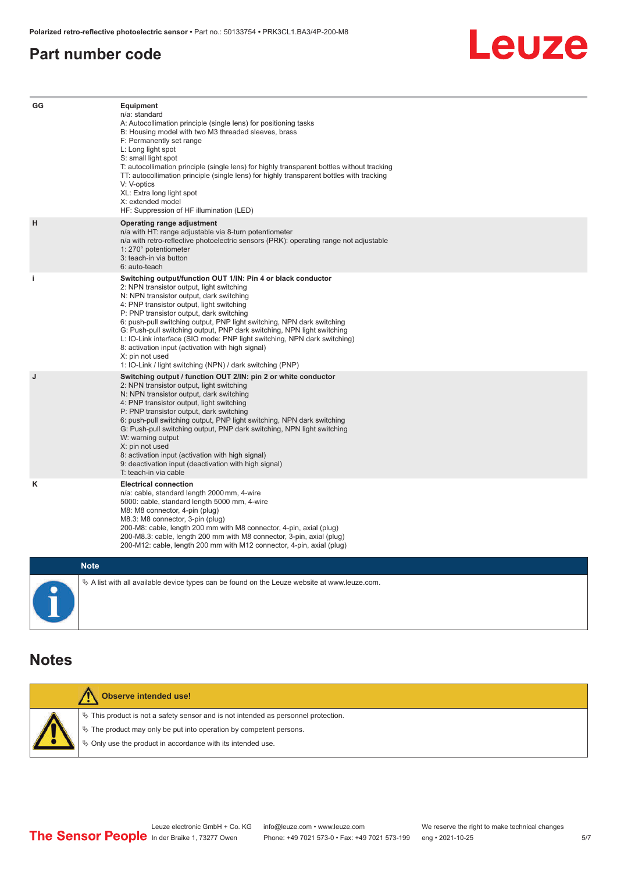#### <span id="page-4-0"></span>**Part number code**



| GG          | Equipment<br>n/a: standard<br>A: Autocollimation principle (single lens) for positioning tasks<br>B: Housing model with two M3 threaded sleeves, brass<br>F: Permanently set range<br>L: Long light spot<br>S: small light spot<br>T: autocollimation principle (single lens) for highly transparent bottles without tracking<br>TT: autocollimation principle (single lens) for highly transparent bottles with tracking<br>V: V-optics<br>XL: Extra long light spot<br>X: extended model<br>HF: Suppression of HF illumination (LED)                                                                              |
|-------------|---------------------------------------------------------------------------------------------------------------------------------------------------------------------------------------------------------------------------------------------------------------------------------------------------------------------------------------------------------------------------------------------------------------------------------------------------------------------------------------------------------------------------------------------------------------------------------------------------------------------|
| н           | Operating range adjustment<br>n/a with HT: range adjustable via 8-turn potentiometer<br>n/a with retro-reflective photoelectric sensors (PRK): operating range not adjustable<br>1: 270° potentiometer<br>3: teach-in via button<br>6: auto-teach                                                                                                                                                                                                                                                                                                                                                                   |
| j.          | Switching output/function OUT 1/IN: Pin 4 or black conductor<br>2: NPN transistor output, light switching<br>N: NPN transistor output, dark switching<br>4: PNP transistor output, light switching<br>P: PNP transistor output, dark switching<br>6: push-pull switching output, PNP light switching, NPN dark switching<br>G: Push-pull switching output, PNP dark switching, NPN light switching<br>L: IO-Link interface (SIO mode: PNP light switching, NPN dark switching)<br>8: activation input (activation with high signal)<br>X: pin not used<br>1: IO-Link / light switching (NPN) / dark switching (PNP) |
| J           | Switching output / function OUT 2/IN: pin 2 or white conductor<br>2: NPN transistor output, light switching<br>N: NPN transistor output, dark switching<br>4: PNP transistor output, light switching<br>P: PNP transistor output, dark switching<br>6: push-pull switching output, PNP light switching, NPN dark switching<br>G: Push-pull switching output, PNP dark switching, NPN light switching<br>W: warning output<br>X: pin not used<br>8: activation input (activation with high signal)<br>9: deactivation input (deactivation with high signal)<br>T: teach-in via cable                                 |
| κ           | <b>Electrical connection</b><br>n/a: cable, standard length 2000 mm, 4-wire<br>5000: cable, standard length 5000 mm, 4-wire<br>M8: M8 connector, 4-pin (plug)<br>M8.3: M8 connector, 3-pin (plug)<br>200-M8: cable, length 200 mm with M8 connector, 4-pin, axial (plug)<br>200-M8.3: cable, length 200 mm with M8 connector, 3-pin, axial (plug)<br>200-M12: cable, length 200 mm with M12 connector, 4-pin, axial (plug)                                                                                                                                                                                          |
| <b>Note</b> |                                                                                                                                                                                                                                                                                                                                                                                                                                                                                                                                                                                                                     |

 $\blacksquare$ 

 $\&$  A list with all available device types can be found on the Leuze website at www.leuze.com.

#### **Notes**

| Observe intended use!                                                                 |
|---------------------------------------------------------------------------------------|
| $\%$ This product is not a safety sensor and is not intended as personnel protection. |
| $\%$ The product may only be put into operation by competent persons.                 |
| $\&$ Only use the product in accordance with its intended use.                        |
|                                                                                       |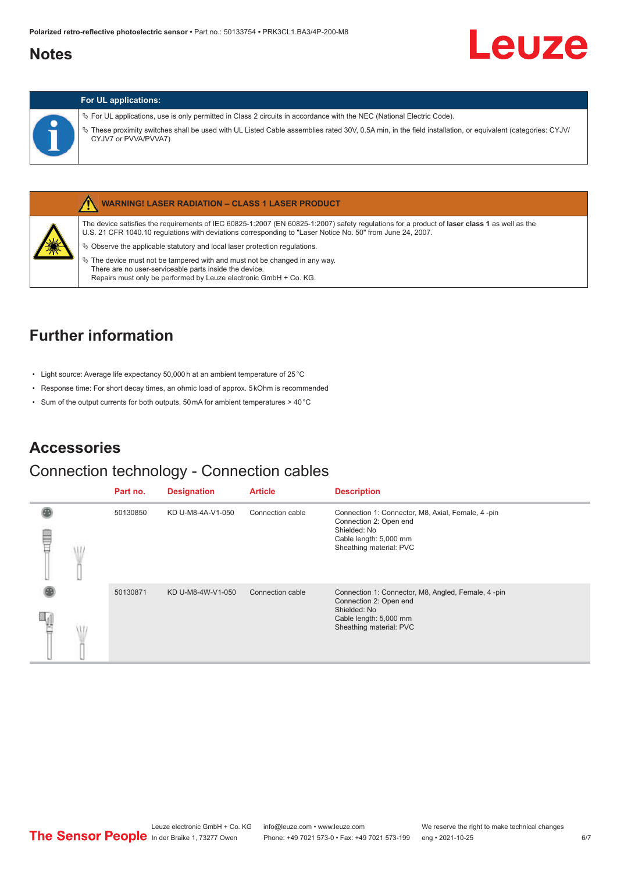#### <span id="page-5-0"></span>**Notes**

# Leuze

#### **For UL applications:**

ª For UL applications, use is only permitted in Class 2 circuits in accordance with the NEC (National Electric Code).

ª These proximity switches shall be used with UL Listed Cable assemblies rated 30V, 0.5A min, in the field installation, or equivalent (categories: CYJV/ CYJV7 or PVVA/PVVA7)



#### **WARNING! LASER RADIATION – CLASS 1 LASER PRODUCT**

The device satisfies the requirements of IEC 60825-1:2007 (EN 60825-1:2007) safety regulations for a product of **laser class 1** as well as the U.S. 21 CFR 1040.10 regulations with deviations corresponding to "Laser Notice No. 50" from June 24, 2007.

- $\%$  Observe the applicable statutory and local laser protection regulations.
- $\%$  The device must not be tampered with and must not be changed in any way. There are no user-serviceable parts inside the device. Repairs must only be performed by Leuze electronic GmbH + Co. KG.

### **Further information**

- Light source: Average life expectancy 50,000 h at an ambient temperature of 25 °C
- Response time: For short decay times, an ohmic load of approx. 5 kOhm is recommended
- Sum of the output currents for both outputs, 50 mA for ambient temperatures > 40 °C

#### **Accessories**

#### Connection technology - Connection cables

|   | Part no. | <b>Designation</b> | <b>Article</b>   | <b>Description</b>                                                                                                                                |
|---|----------|--------------------|------------------|---------------------------------------------------------------------------------------------------------------------------------------------------|
| ⋚ | 50130850 | KD U-M8-4A-V1-050  | Connection cable | Connection 1: Connector, M8, Axial, Female, 4-pin<br>Connection 2: Open end<br>Shielded: No<br>Cable length: 5,000 mm<br>Sheathing material: PVC  |
|   | 50130871 | KD U-M8-4W-V1-050  | Connection cable | Connection 1: Connector, M8, Angled, Female, 4-pin<br>Connection 2: Open end<br>Shielded: No<br>Cable length: 5,000 mm<br>Sheathing material: PVC |